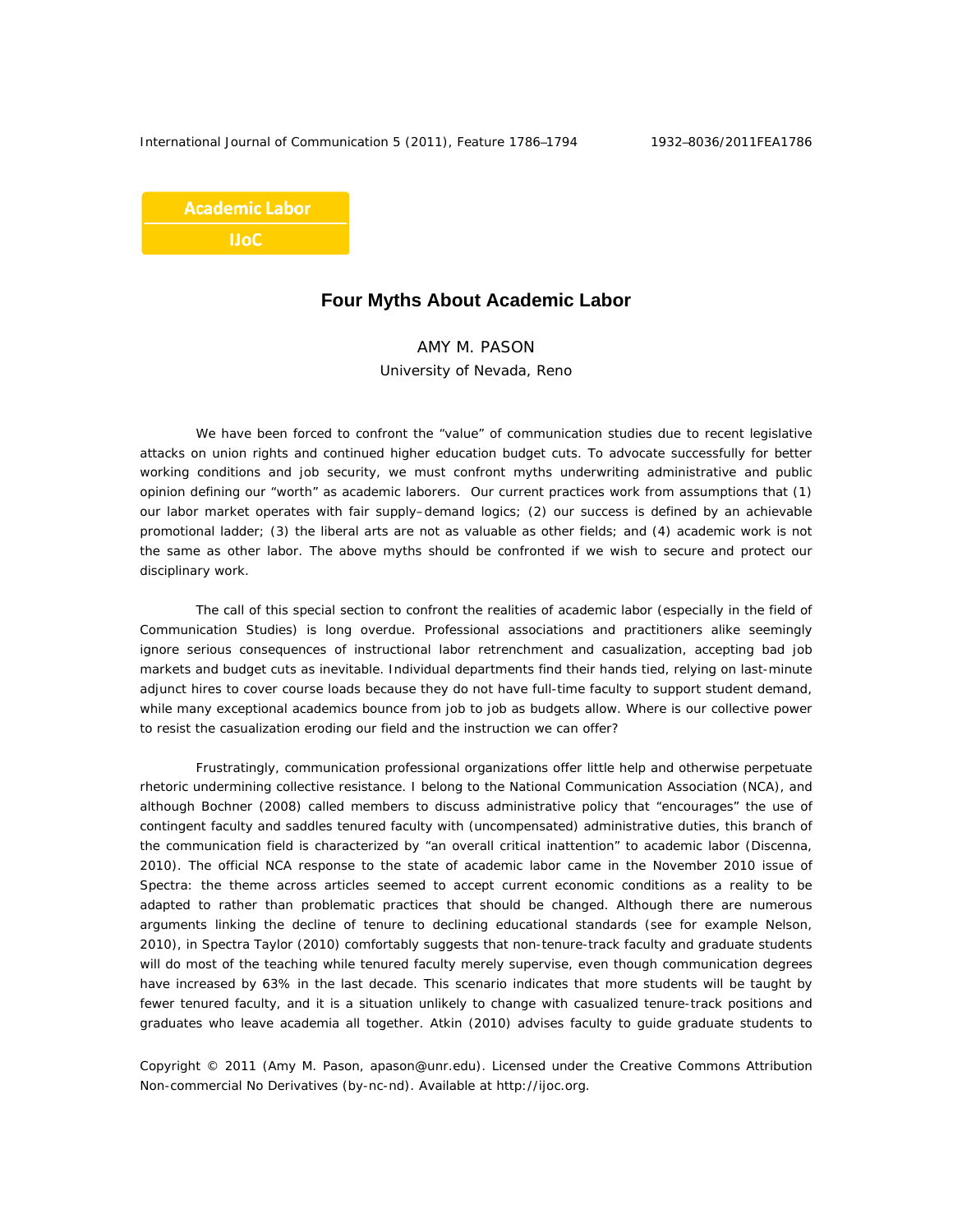**Academic Labor IJoC** 

# **Four Myths About Academic Labor**

AMY M. PASON

University of Nevada, Reno

We have been forced to confront the "value" of communication studies due to recent legislative attacks on union rights and continued higher education budget cuts. To advocate successfully for better working conditions and job security, we must confront myths underwriting administrative and public opinion defining our "worth" as academic laborers. Our current practices work from assumptions that (1) our labor market operates with fair supply–demand logics; (2) our success is defined by an achievable promotional ladder; (3) the liberal arts are not as valuable as other fields; and (4) academic work is not the same as other labor. The above myths should be confronted if we wish to secure and protect our disciplinary work.

The call of this special section to confront the realities of academic labor (especially in the field of Communication Studies) is long overdue. Professional associations and practitioners alike seemingly ignore serious consequences of instructional labor retrenchment and casualization, accepting bad job markets and budget cuts as inevitable. Individual departments find their hands tied, relying on last-minute adjunct hires to cover course loads because they do not have full-time faculty to support student demand, while many exceptional academics bounce from job to job as budgets allow. Where is our collective power to resist the casualization eroding our field and the instruction we can offer?

Frustratingly, communication professional organizations offer little help and otherwise perpetuate rhetoric undermining collective resistance. I belong to the National Communication Association (NCA), and although Bochner (2008) called members to discuss administrative policy that "encourages" the use of contingent faculty and saddles tenured faculty with (uncompensated) administrative duties, this branch of the communication field is characterized by "an overall critical inattention" to academic labor (Discenna, 2010). The official NCA response to the state of academic labor came in the November 2010 issue of *Spectra:* the theme across articles seemed to accept current economic conditions as a reality *to be adapted to* rather than problematic practices *that should be changed*. Although there are numerous arguments linking the decline of tenure to declining educational standards (see for example Nelson, 2010), in *Spectra* Taylor (2010) comfortably suggests that non-tenure-track faculty and graduate students will do most of the teaching while tenured faculty merely supervise, even though communication degrees have increased by 63% in the last decade. This scenario indicates that more students will be taught by fewer tenured faculty, and it is a situation unlikely to change with casualized tenure-track positions and graduates who leave academia all together. Atkin (2010) advises faculty to guide graduate students to

Copyright © 2011 (Amy M. Pason, apason@unr.edu). Licensed under the Creative Commons Attribution Non-commercial No Derivatives (by-nc-nd). Available at http://ijoc.org.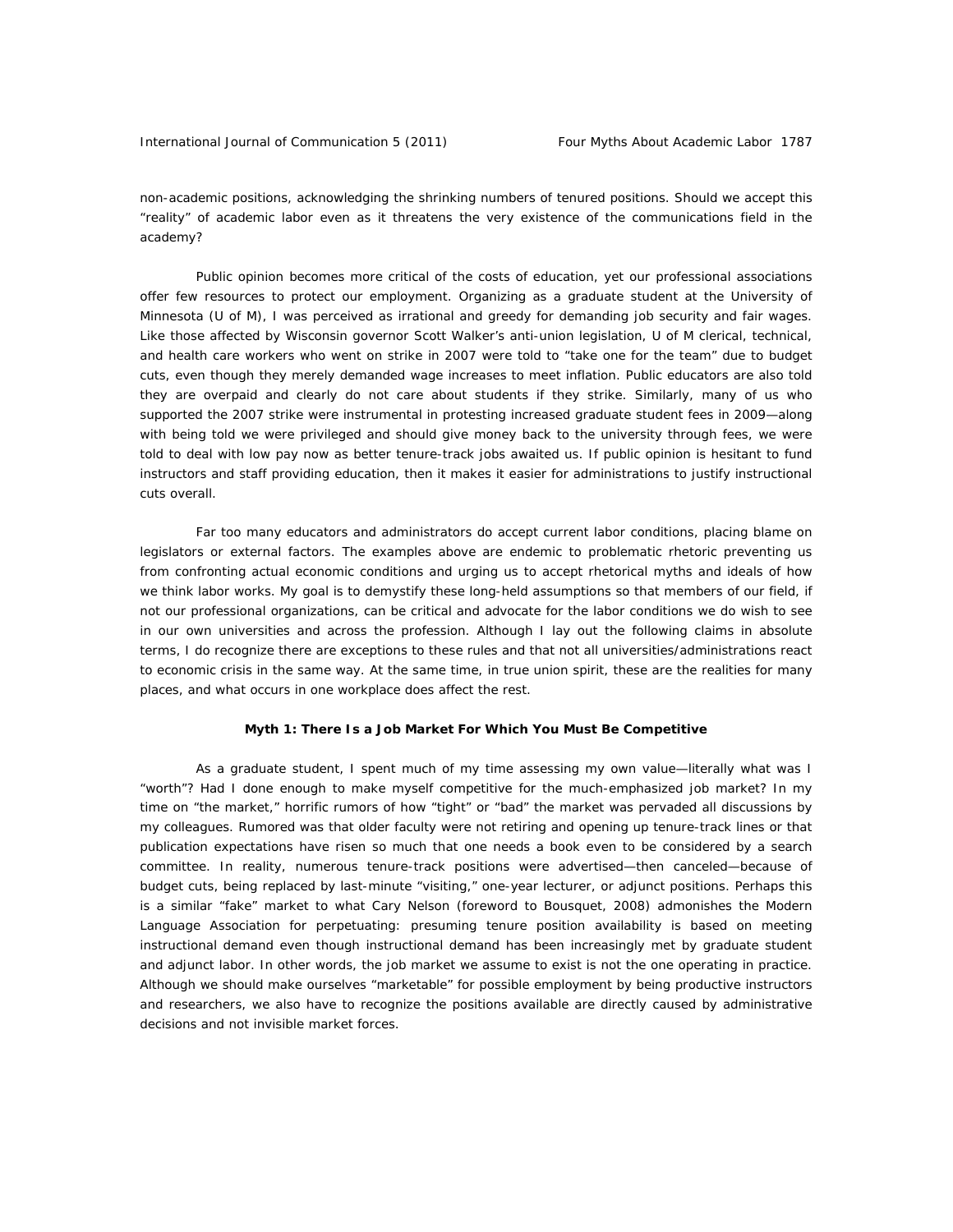non-academic positions, acknowledging the shrinking numbers of tenured positions. Should we accept this "reality" of academic labor even as it threatens the very existence of the communications field in the academy?

Public opinion becomes more critical of the costs of education, yet our professional associations offer few resources to protect our employment. Organizing as a graduate student at the University of Minnesota (U of M), I was perceived as irrational and greedy for demanding job security and fair wages. Like those affected by Wisconsin governor Scott Walker's anti-union legislation, U of M clerical, technical, and health care workers who went on strike in 2007 were told to "take one for the team" due to budget cuts, even though they merely demanded wage increases to meet inflation. Public educators are also told they are overpaid and clearly do not care about students if they strike. Similarly, many of us who supported the 2007 strike were instrumental in protesting increased graduate student fees in 2009—along with being told we were privileged and should give money back to the university through fees, we were told to deal with low pay now as better tenure-track jobs awaited us. If public opinion is hesitant to fund instructors and staff providing education, then it makes it easier for administrations to justify instructional cuts overall.

Far too many educators and administrators *do* accept current labor conditions, placing blame on legislators or external factors. The examples above are endemic to problematic rhetoric preventing us from confronting actual economic conditions and urging us to accept rhetorical myths and ideals of how we *think* labor works. My goal is to demystify these long-held assumptions so that members of our field, if not our professional organizations, can be critical and advocate for the labor conditions we do wish to see in our own universities and across the profession. Although I lay out the following claims in absolute terms, I do recognize there are exceptions to these rules and that not all universities/administrations react to economic crisis in the same way. At the same time, in true union spirit, these are the realities for many places, and what occurs in one workplace does affect the rest.

## *Myth 1: There Is a Job Market For Which You Must Be Competitive*

As a graduate student, I spent much of my time assessing my own value—literally what was I "worth"? Had I done enough to make myself competitive for the much-emphasized job market? In my time on "the market," horrific rumors of how "tight" or "bad" the market was pervaded all discussions by my colleagues. Rumored was that older faculty were not retiring and opening up tenure-track lines or that publication expectations have risen so much that one needs a book even to be considered by a search committee. In reality, numerous tenure-track positions were advertised—then canceled—because of budget cuts, being replaced by last-minute "visiting," one-year lecturer, or adjunct positions. Perhaps this is a similar "fake" market to what Cary Nelson (foreword to Bousquet, 2008) admonishes the Modern Language Association for perpetuating: presuming tenure position availability is based on meeting instructional demand even though instructional demand has been increasingly met by graduate student and adjunct labor. In other words, the job market we *assume* to exist is not the one operating in practice. Although we should make ourselves "marketable" for possible employment by being productive instructors and researchers, we also have to recognize the positions available are directly caused by administrative decisions and not invisible market forces.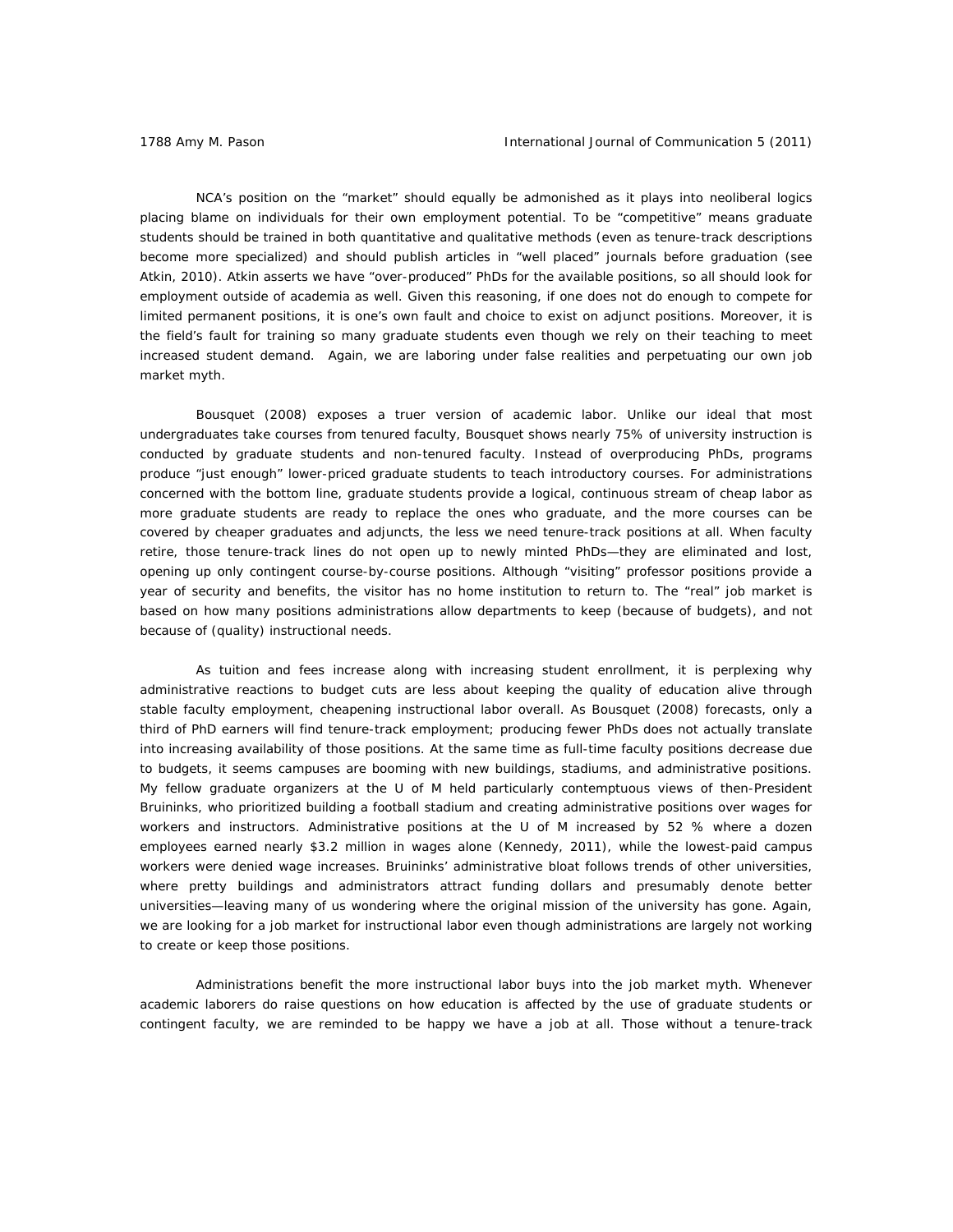NCA's position on the "market" should equally be admonished as it plays into neoliberal logics placing blame on individuals for their own employment potential. To be "competitive" means graduate students should be trained in both quantitative and qualitative methods (even as tenure-track descriptions become more specialized) and should publish articles in "well placed" journals before graduation (see Atkin, 2010). Atkin asserts we have "over-produced" PhDs for the available positions, so all should look for employment outside of academia as well. Given this reasoning, if one does not do enough to compete for limited permanent positions, it is one's own fault and choice to exist on adjunct positions. Moreover, it is the field's fault for training so many graduate students even though we rely on their teaching to meet increased student demand. Again, we are laboring under false realities and perpetuating our own job market myth.

Bousquet (2008) exposes a truer version of academic labor. Unlike our ideal that most undergraduates take courses from tenured faculty, Bousquet shows nearly 75% of university instruction is conducted by graduate students and non-tenured faculty. Instead of overproducing PhDs, programs produce "just enough" lower-priced graduate students to teach introductory courses. For administrations concerned with the bottom line, graduate students provide a logical, continuous stream of cheap labor as more graduate students are ready to replace the ones who graduate, and the more courses can be covered by cheaper graduates and adjuncts, the less we need tenure-track positions at all. When faculty retire, those tenure-track lines do not open up to newly minted PhDs—they are eliminated and lost, opening up only contingent course-by-course positions. Although "visiting" professor positions provide a year of security and benefits, the visitor has no home institution to return to. The "real" job market is based on how many positions administrations allow departments to keep (because of budgets), and not because of (quality) instructional needs.

As tuition and fees increase along with increasing student enrollment, it is perplexing why administrative reactions to budget cuts are less about keeping the quality of education alive through stable faculty employment, cheapening instructional labor overall. As Bousquet (2008) forecasts, only a third of PhD earners will find tenure-track employment; producing fewer PhDs does not actually translate into increasing availability of those positions. At the same time as full-time faculty positions decrease due to budgets, it seems campuses are booming with new buildings, stadiums, and administrative positions. My fellow graduate organizers at the U of M held particularly contemptuous views of then-President Bruininks, who prioritized building a football stadium and creating administrative positions over wages for workers and instructors. Administrative positions at the U of M increased by 52 % where a dozen employees earned nearly \$3.2 million in wages alone (Kennedy, 2011), while the lowest-paid campus workers were denied wage increases. Bruininks' administrative bloat follows trends of other universities, where pretty buildings and administrators attract funding dollars and presumably denote better universities—leaving many of us wondering where the original mission of the university has gone. Again, we are looking for a job market for instructional labor even though administrations are largely not working to create or keep those positions.

Administrations benefit the more instructional labor buys into the job market myth. Whenever academic laborers *do* raise questions on how education is affected by the use of graduate students or contingent faculty, we are reminded to be happy we have a job at all. Those without a tenure-track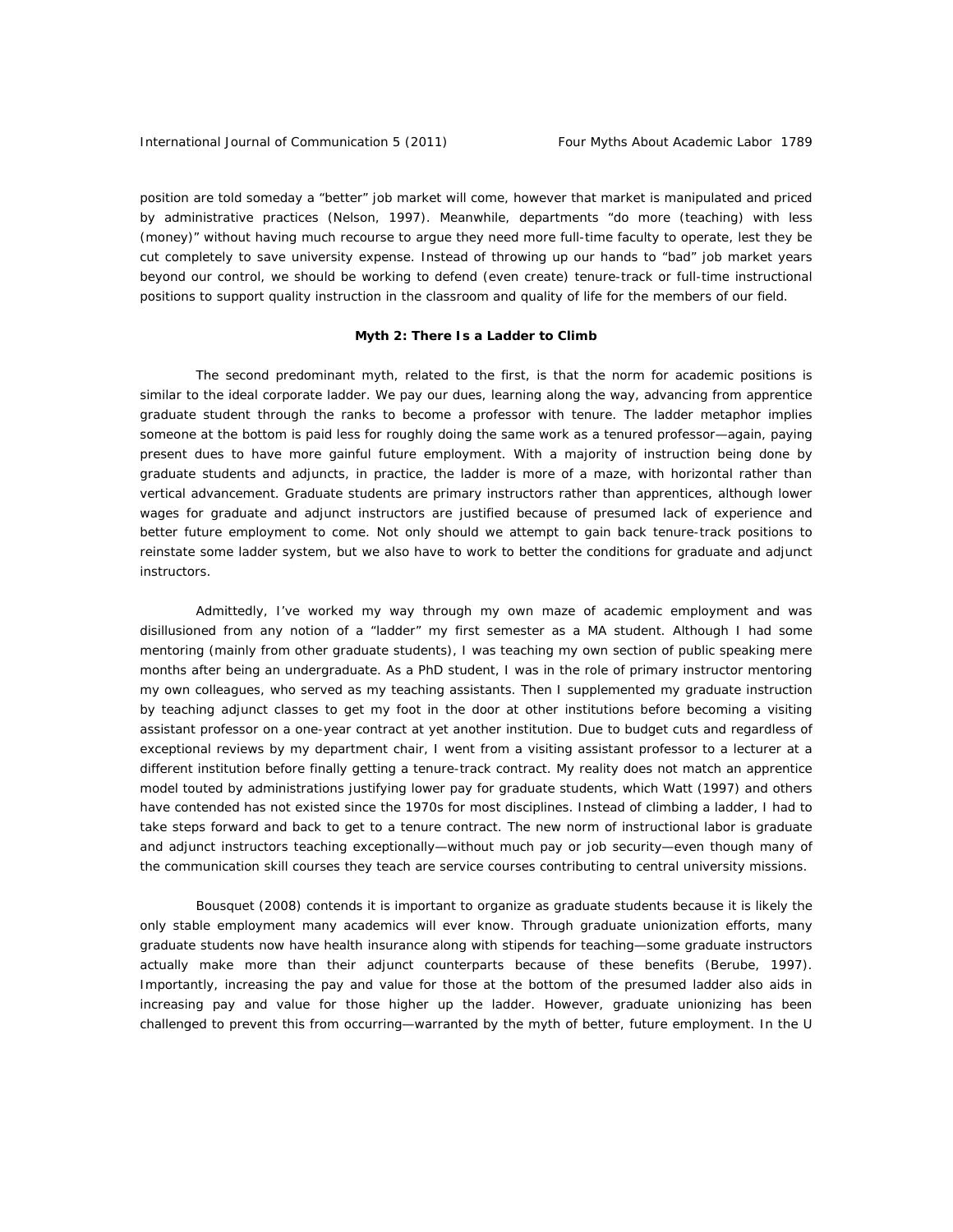position are told someday a "better" job market will come, however that market is manipulated and priced by administrative practices (Nelson, 1997). Meanwhile, departments "do more (teaching) with less (money)" without having much recourse to argue they *need* more full-time faculty to operate, lest they be cut completely to save university expense. Instead of throwing up our hands to "bad" job market years beyond our control, we should be working to defend (even create) tenure-track or full-time instructional positions to support quality instruction in the classroom and quality of life for the members of our field.

### *Myth 2: There Is a Ladder to Climb*

The second predominant myth, related to the first, is that the norm for academic positions is similar to the ideal corporate ladder. We pay our dues, learning along the way, advancing from apprentice graduate student through the ranks to become a professor with tenure. The ladder metaphor implies someone at the bottom is paid less for roughly doing the same work as a tenured professor—again, paying present dues to have more gainful future employment. With a majority of instruction being done by graduate students and adjuncts, in practice, the ladder is more of a maze, with horizontal rather than vertical advancement. Graduate students are primary instructors rather than apprentices, although lower wages for graduate and adjunct instructors are justified because of presumed lack of experience and better future employment to come. Not only should we attempt to gain back tenure-track positions to reinstate some ladder system, but we also have to work to better the conditions for graduate and adjunct instructors.

Admittedly, I've worked my way through my own maze of academic employment and was disillusioned from any notion of a "ladder" my first semester as a MA student. Although I had some mentoring (mainly from other graduate students), I was teaching my own section of public speaking mere months after being an undergraduate. As a PhD student, I was in the role of primary instructor mentoring my own colleagues, who served as my teaching assistants. Then I supplemented my graduate instruction by teaching adjunct classes to get my foot in the door at other institutions before becoming a visiting assistant professor on a one-year contract at yet another institution. Due to budget cuts and regardless of exceptional reviews by my department chair, I went from a visiting assistant professor to a lecturer at a different institution before finally getting a tenure-track contract. My reality does not match an apprentice model touted by administrations justifying lower pay for graduate students, which Watt (1997) and others have contended has not existed since the 1970s for most disciplines. Instead of climbing a ladder, I had to take steps forward and back to get to a tenure contract. The new norm of instructional labor is graduate and adjunct instructors teaching exceptionally—without much pay or job security—even though many of the communication skill courses they teach are service courses contributing to central university missions.

 Bousquet (2008) contends it is important to organize as graduate students because it is likely the only stable employment many academics will ever know. Through graduate unionization efforts, many graduate students now have health insurance along with stipends for teaching—some graduate instructors actually make *more* than their adjunct counterparts because of these benefits (Berube, 1997). Importantly, increasing the pay and value for those at the bottom of the presumed ladder also aids in increasing pay and value for those higher up the ladder. However, graduate unionizing has been challenged to prevent this from occurring—warranted by the myth of better, future employment. In the U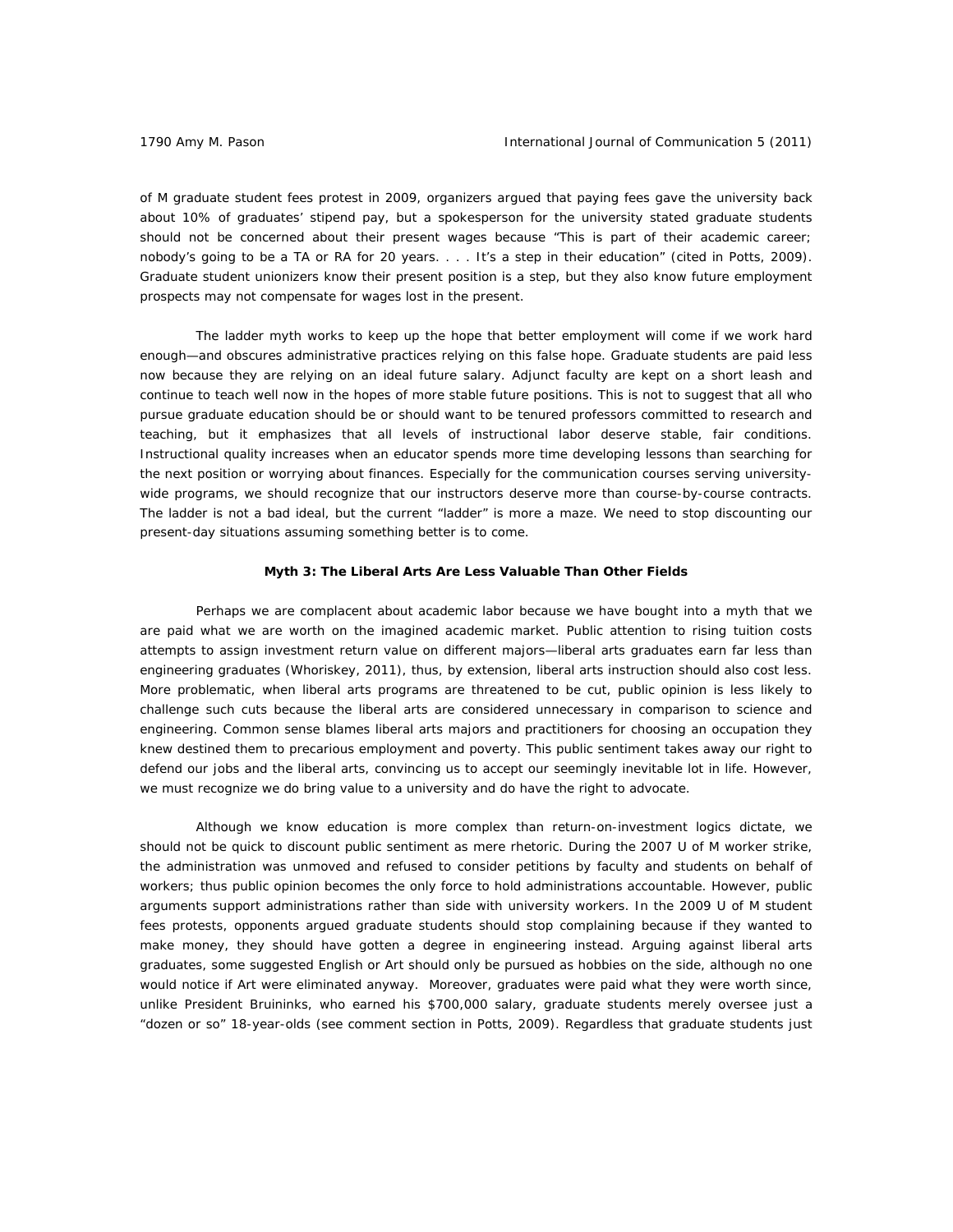of M graduate student fees protest in 2009, organizers argued that paying fees gave the university back about 10% of graduates' stipend pay, but a spokesperson for the university stated graduate students should not be concerned about their present wages because "This is part of their academic career; nobody's going to be a TA or RA for 20 years. . . . It's a step in their education" (cited in Potts, 2009). Graduate student unionizers know their present position is a step, but they also know future employment prospects may not compensate for wages lost in the present.

The ladder myth works to keep up the *hope* that better employment will come if we work hard enough—and obscures administrative practices relying on this false hope. Graduate students are paid less *now* because they are relying on an ideal future salary. Adjunct faculty are kept on a short leash and continue to teach well *now* in the hopes of more stable future positions. This is not to suggest that all who pursue graduate education should be or should want to be tenured professors committed to research *and* teaching, but it emphasizes that all levels of instructional labor deserve stable, fair conditions. Instructional quality increases when an educator spends more time developing lessons than searching for the next position or worrying about finances. Especially for the communication courses serving universitywide programs, we should recognize that our instructors deserve more than course-by-course contracts. The ladder is not a bad ideal, but the current "ladder" is more a maze. We need to stop discounting our present-day situations assuming something better is to come.

## *Myth 3: The Liberal Arts Are Less Valuable Than Other Fields*

Perhaps we are complacent about academic labor because we have bought into a myth that we are paid what we are worth on the imagined academic market. Public attention to rising tuition costs attempts to assign investment return value on different majors—liberal arts graduates earn far less than engineering graduates (Whoriskey, 2011), thus, by extension, liberal arts instruction should also cost less. More problematic, when liberal arts programs are threatened to be cut, public opinion is less likely to challenge such cuts because the liberal arts are considered unnecessary in comparison to science and engineering. Common sense blames liberal arts majors and practitioners for choosing an occupation they *knew* destined them to precarious employment and poverty. This public sentiment takes away our right to defend our jobs and the liberal arts, convincing us to accept our seemingly inevitable lot in life. However, we must recognize we do bring value to a university and do have the right to advocate.

Although *we* know education is more complex than return-on-investment logics dictate, we should not be quick to discount public sentiment as mere rhetoric. During the 2007 U of M worker strike, the administration was unmoved and refused to consider petitions by faculty and students on behalf of workers; thus public opinion becomes the only force to hold administrations accountable. However, public arguments support administrations rather than side with university workers. In the 2009 U of M student fees protests, opponents argued graduate students should stop complaining because if they wanted to make money, they should have gotten a degree in engineering instead. Arguing against liberal arts graduates, some suggested English or Art should only be pursued as hobbies on the side, although no one would notice if Art were eliminated anyway. Moreover, graduates were paid what they were worth since, unlike President Bruininks, who earned his \$700,000 salary, graduate students merely oversee just a "dozen or so" 18-year-olds (see comment section in Potts, 2009). Regardless that graduate students just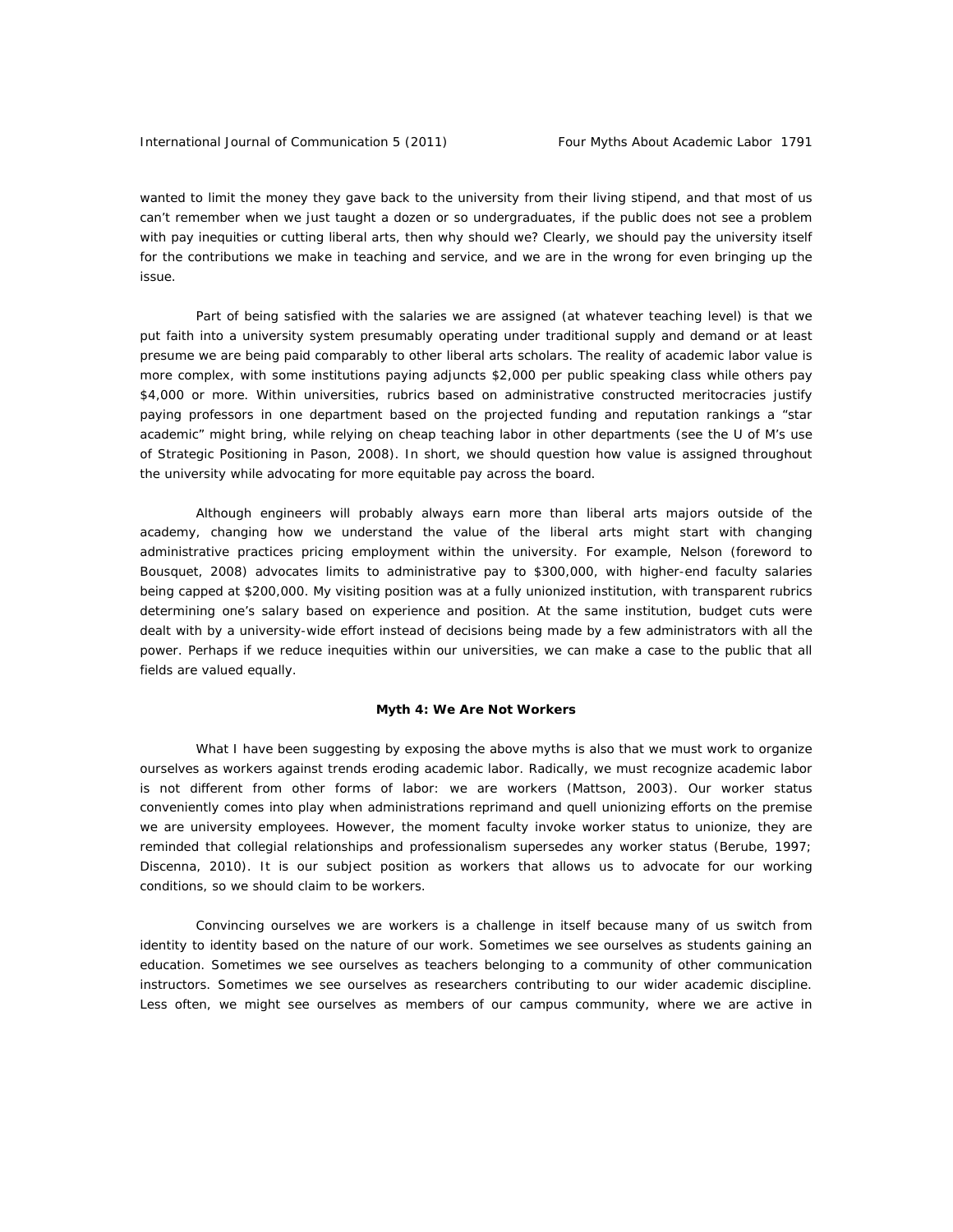wanted to limit the money they gave back to the university from their living stipend, and that most of us can't remember when we *just* taught a *dozen* or so undergraduates, if the public does not see a problem with pay inequities or cutting liberal arts, then why should we? Clearly, we should pay the university itself for the contributions we make in teaching and service, and we are in the wrong for even bringing up the issue.

Part of being satisfied with the salaries we are assigned (at whatever teaching level) is that we put faith into a university system presumably operating under traditional supply and demand or at least presume we are being paid comparably to *other* liberal arts scholars. The reality of academic labor value is more complex, with some institutions paying adjuncts \$2,000 per public speaking class while others pay \$4,000 or more. Within universities, rubrics based on administrative constructed meritocracies justify paying professors in one department based on the projected funding and reputation rankings a "star academic" might bring, while relying on cheap teaching labor in other departments (see the U of M's use of Strategic Positioning in Pason, 2008). In short, we should question how value is assigned throughout the university while advocating for more equitable pay across the board.

Although engineers will probably always earn more than liberal arts majors outside of the academy, changing how we understand the value of the liberal arts might start with changing administrative practices pricing employment within the university. For example, Nelson (foreword to Bousquet, 2008) advocates limits to administrative pay to \$300,000, with higher-end faculty salaries being capped at \$200,000. My visiting position was at a fully unionized institution, with transparent rubrics determining one's salary based on experience and position. At the same institution, budget cuts were dealt with by a university-wide effort instead of decisions being made by a few administrators with all the power. Perhaps if we reduce inequities within our universities, we can make a case to the public that all fields are valued equally.

## *Myth 4: We Are Not Workers*

What I have been suggesting by exposing the above myths is also that we must work to organize ourselves as workers against trends eroding academic labor. Radically, we must recognize academic labor is not different from other forms of labor: we are workers (Mattson, 2003). Our worker status conveniently comes into play when administrations reprimand and quell unionizing efforts on the premise we are university employees. However, the moment faculty invoke worker status to unionize, they are reminded that collegial relationships and professionalism supersedes any worker status (Berube, 1997; Discenna, 2010). It is our subject position as *workers* that allows us to advocate for our working conditions, so we should claim to be workers.

Convincing ourselves we are workers is a challenge in itself because many of us switch from identity to identity based on the nature of our work. Sometimes we see ourselves as *students* gaining an education. Sometimes we see ourselves as *teachers* belonging to a community of other communication instructors. Sometimes we see ourselves as *researchers* contributing to our wider academic discipline. Less often, we might see ourselves as members of our *campus community,* where we are active in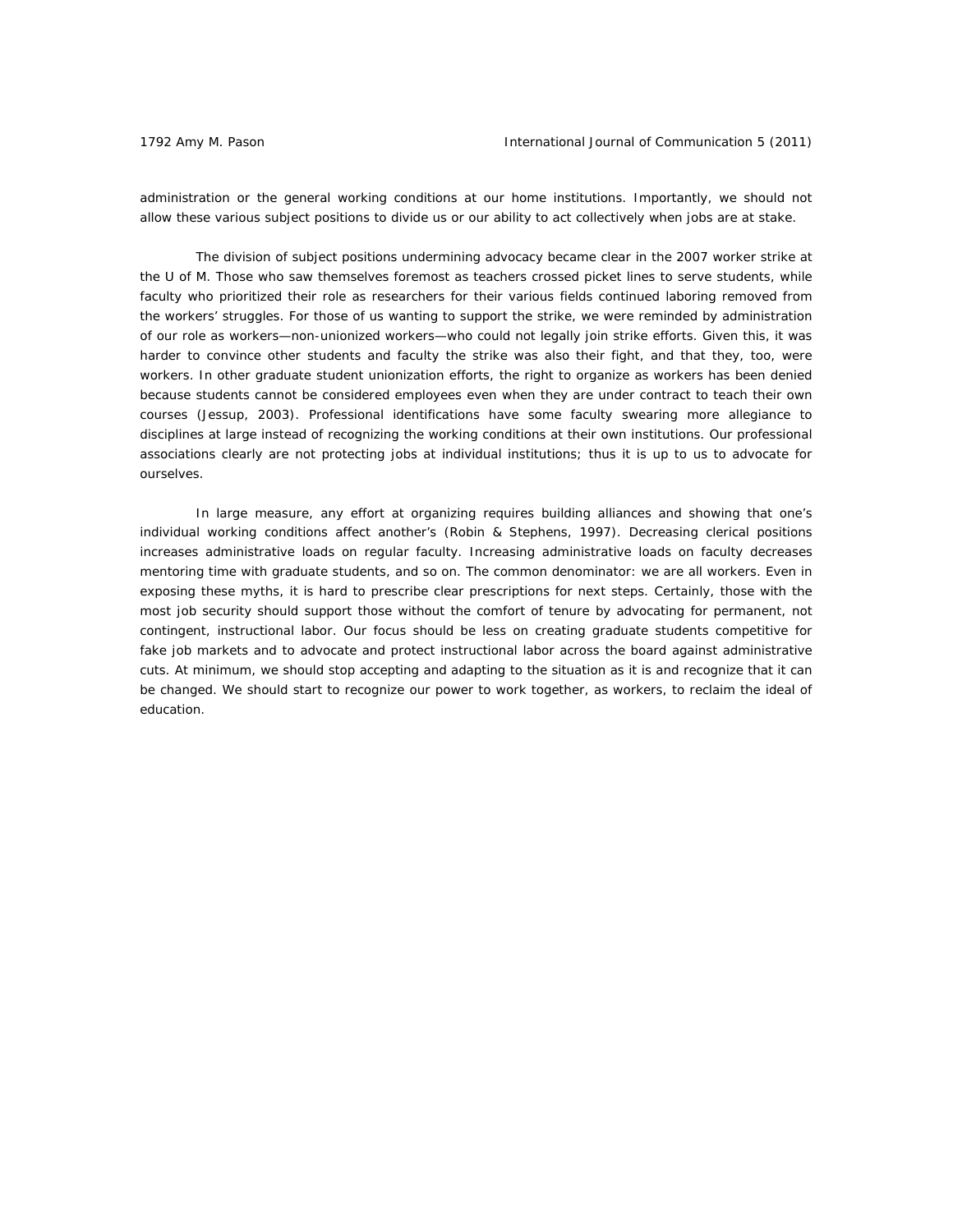administration or the general working conditions at our home institutions. Importantly, we should not allow these various subject positions to divide us or our ability to act collectively when jobs are at stake.

The division of subject positions undermining advocacy became clear in the 2007 worker strike at the U of M. Those who saw themselves foremost as *teachers* crossed picket lines to serve students, while faculty who prioritized their role as *researchers* for their various fields continued laboring removed from the workers' struggles. For those of us wanting to support the strike, we were reminded by administration of our role as *workers—*non-unionized workers—who could not legally join strike efforts. Given this, it was harder to convince other students and faculty the strike was also *their* fight, and that they, too, were workers. In other graduate student unionization efforts, the right to organize as workers has been denied because *students* cannot be considered employees even when they are under contract to teach their own courses (Jessup, 2003). Professional identifications have some faculty swearing more allegiance to disciplines at large instead of recognizing the working conditions at their own institutions. Our professional associations clearly are not protecting jobs at individual institutions; thus it is up to us to advocate for ourselves.

 In large measure, any effort at organizing requires building alliances and showing that one's individual working conditions affect another's (Robin & Stephens, 1997). Decreasing clerical positions increases administrative loads on regular faculty. Increasing administrative loads on faculty decreases mentoring time with graduate students, and so on. The common denominator: we are all *workers.* Even in exposing these myths, it is hard to prescribe clear prescriptions for next steps. Certainly, those with the most job security should support those without the comfort of tenure by advocating for permanent, not contingent, instructional labor. Our focus should be less on creating graduate students competitive for fake job markets and to advocate and protect instructional labor across the board against administrative cuts. At minimum, we should stop accepting and adapting to the situation *as it is* and recognize that *it can be changed*. We should start to recognize our power to work together, *as workers,* to reclaim the ideal of education.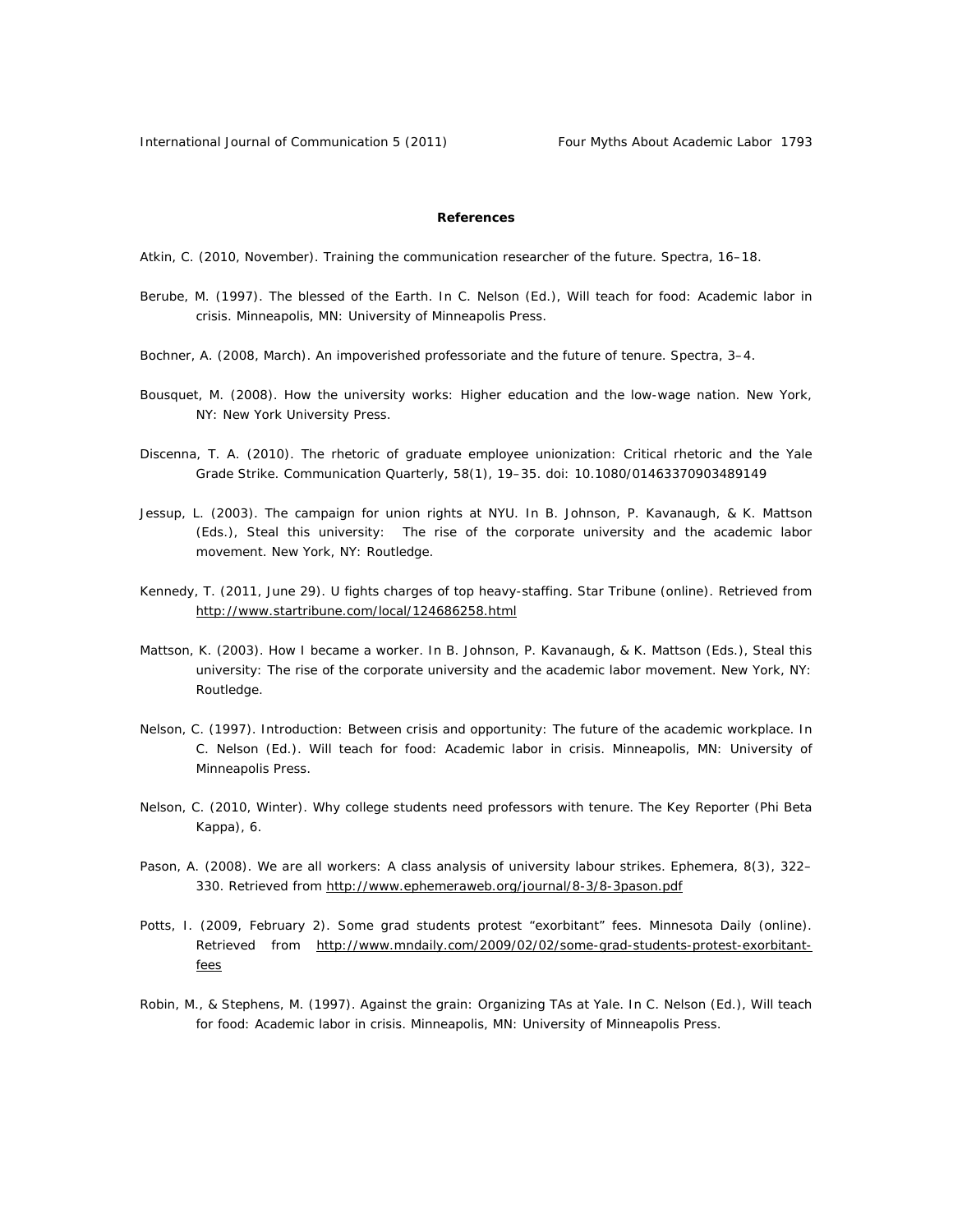### **References**

Atkin, C. (2010, November). Training the communication researcher of the future. *Spectra,* 16–18.

- Berube, M. (1997). The blessed of the Earth. In C. Nelson (Ed.), *Will teach for food: Academic labor in crisis.* Minneapolis, MN: University of Minneapolis Press.
- Bochner, A. (2008, March). An impoverished professoriate and the future of tenure. *Spectra,* 3–4.
- Bousquet, M. (2008). *How the university works: Higher education and the low-wage nation*. New York, NY: New York University Press.
- Discenna, T. A. (2010). The rhetoric of graduate employee unionization: Critical rhetoric and the Yale Grade Strike. *Communication Quarterly, 58*(1), 19–35. doi: 10.1080/01463370903489149
- Jessup, L. (2003). The campaign for union rights at NYU. In B. Johnson, P. Kavanaugh, & K. Mattson (Eds.), *Steal this university: The rise of the corporate university and the academic labor movement.* New York, NY: Routledge.
- Kennedy, T. (2011, June 29). U fights charges of top heavy-staffing. *Star Tribune* (online). Retrieved from http://www.startribune.com/local/124686258.html
- Mattson, K. (2003). How I became a worker. In B. Johnson, P. Kavanaugh, & K. Mattson (Eds.), *Steal this*  university: The rise of the corporate university and the academic labor movement. New York, NY: Routledge.
- Nelson, C. (1997). Introduction: Between crisis and opportunity: The future of the academic workplace. In C. Nelson (Ed.). *Will teach for food: Academic labor in crisis.* Minneapolis, MN: University of Minneapolis Press.
- Nelson, C. (2010, Winter). Why college students need professors with tenure. *The Key Reporter (Phi Beta Kappa),* 6.
- Pason, A. (2008). We are all workers: A class analysis of university labour strikes. *Ephemera, 8*(3), 322– 330. Retrieved from http://www.ephemeraweb.org/journal/8-3/8-3pason.pdf
- Potts, I. (2009, February 2). Some grad students protest "exorbitant" fees. *Minnesota Daily* (online). Retrieved from http://www.mndaily.com/2009/02/02/some-grad-students-protest-exorbitantfees
- Robin, M., & Stephens, M. (1997). Against the grain: Organizing TAs at Yale. In C. Nelson (Ed.), *Will teach for food: Academic labor in crisis.* Minneapolis, MN: University of Minneapolis Press.